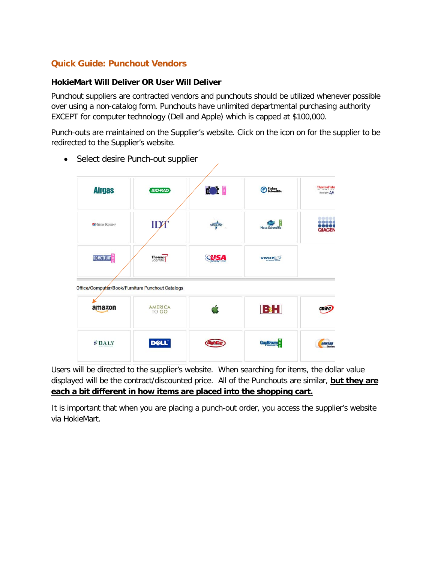## **Quick Guide: Punchout Vendors**

## **HokieMart Will Deliver OR User Will Deliver**

Punchout suppliers are contracted vendors and punchouts should be utilized whenever possible over using a non-catalog form. Punchouts have unlimited departmental purchasing authority EXCEPT for computer technology (Dell and Apple) which is capped at \$100,000.

Punch-outs are maintained on the Supplier's website. Click on the icon on for the supplier to be redirected to the Supplier's website.

| <b>Airgas</b>           | <b>BIO RAD</b>                                   | $\mathbb{C}$     | <b>B</b> Fisher<br>Scientific | ThermoFishe<br>formerly Life |
|-------------------------|--------------------------------------------------|------------------|-------------------------------|------------------------------|
| <b>ZHENRY SCHEIN®</b>   | $\mathbf{ID}'$                                   | <b>MEDLINE</b>   | <b>Mau</b><br>Neta Scientific | <br><br><b>QIAGEN</b>        |
| spectrum <sup>'</sup> s | Thomas                                           | $\sum_{i=1}^{n}$ | <b>VWR</b>                    |                              |
|                         |                                                  |                  |                               |                              |
|                         | Office/Computer/Book/Furniture Punchout Catalogs |                  |                               |                              |
| amazon                  | <b>AMERICA</b><br><b>TO GO</b>                   |                  | BH                            |                              |

• Select desire Punch-out supplier

Users will be directed to the supplier's website. When searching for items, the dollar value displayed will be the contract/discounted price. All of the Punchouts are similar, **but they are each a bit different in how items are placed into the shopping cart.**

It is important that when you are placing a punch-out order, you access the supplier's website via HokieMart.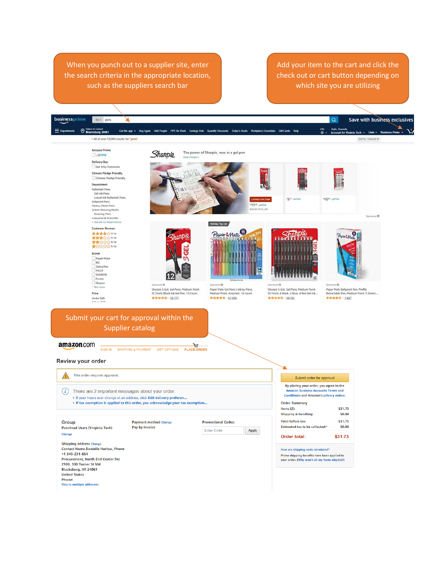When you punch out to a supplier site, enter the search criteria in the appropriate location, such as the suppliers search bar

Add your item to the cart and click the check out or cart button depending on which site you are utilizing